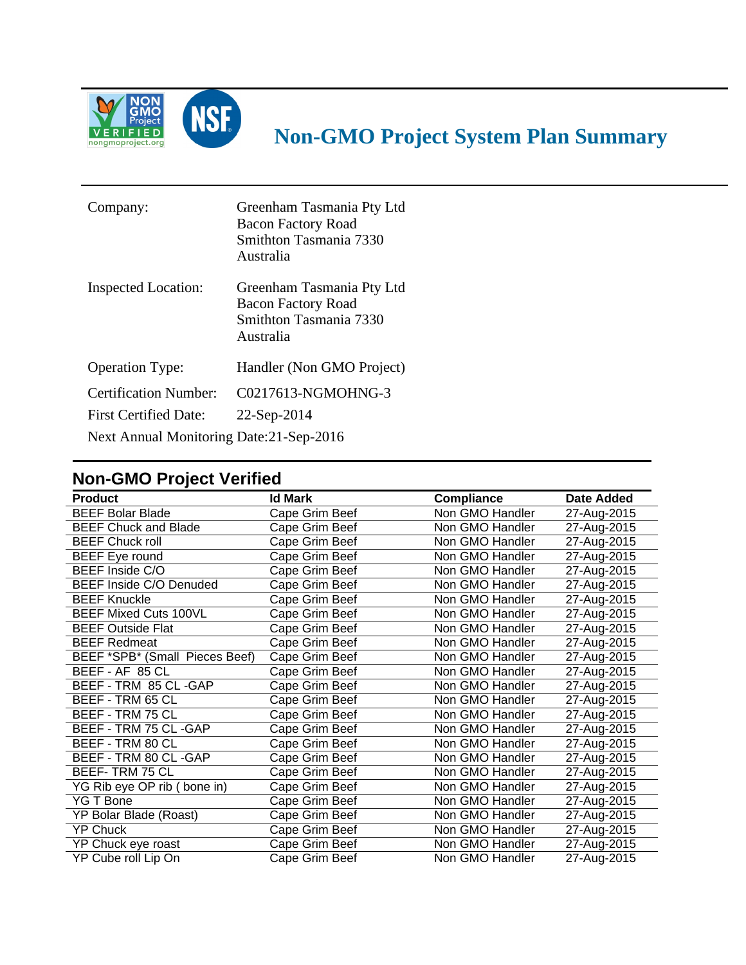

## **Non-GMO Project System Plan Summary**

| Company:                                 | Greenham Tasmania Pty Ltd<br><b>Bacon Factory Road</b><br>Smithton Tasmania 7330<br>Australia |  |  |
|------------------------------------------|-----------------------------------------------------------------------------------------------|--|--|
| Inspected Location:                      | Greenham Tasmania Pty Ltd<br><b>Bacon Factory Road</b><br>Smithton Tasmania 7330<br>Australia |  |  |
| <b>Operation Type:</b>                   | Handler (Non GMO Project)                                                                     |  |  |
| <b>Certification Number:</b>             | C0217613-NGMOHNG-3                                                                            |  |  |
| <b>First Certified Date:</b>             | 22-Sep-2014                                                                                   |  |  |
| Next Annual Monitoring Date: 21-Sep-2016 |                                                                                               |  |  |

## **Non-GMO Project Verified**

| <b>Product</b>                 | <b>Id Mark</b> |                   |             |
|--------------------------------|----------------|-------------------|-------------|
|                                |                | <b>Compliance</b> | Date Added  |
| <b>BEEF Bolar Blade</b>        | Cape Grim Beef | Non GMO Handler   | 27-Aug-2015 |
| <b>BEEF Chuck and Blade</b>    | Cape Grim Beef | Non GMO Handler   | 27-Aug-2015 |
| <b>BEEF Chuck roll</b>         | Cape Grim Beef | Non GMO Handler   | 27-Aug-2015 |
| <b>BEEF</b> Eye round          | Cape Grim Beef | Non GMO Handler   | 27-Aug-2015 |
| BEEF Inside C/O                | Cape Grim Beef | Non GMO Handler   | 27-Aug-2015 |
| BEEF Inside C/O Denuded        | Cape Grim Beef | Non GMO Handler   | 27-Aug-2015 |
| <b>BEEF Knuckle</b>            | Cape Grim Beef | Non GMO Handler   | 27-Aug-2015 |
| <b>BEEF Mixed Cuts 100VL</b>   | Cape Grim Beef | Non GMO Handler   | 27-Aug-2015 |
| <b>BEEF Outside Flat</b>       | Cape Grim Beef | Non GMO Handler   | 27-Aug-2015 |
| <b>BEEF Redmeat</b>            | Cape Grim Beef | Non GMO Handler   | 27-Aug-2015 |
| BEEF *SPB* (Small Pieces Beef) | Cape Grim Beef | Non GMO Handler   | 27-Aug-2015 |
| BEEF - AF 85 CL                | Cape Grim Beef | Non GMO Handler   | 27-Aug-2015 |
| BEEF - TRM 85 CL -GAP          | Cape Grim Beef | Non GMO Handler   | 27-Aug-2015 |
| BEEF - TRM 65 CL               | Cape Grim Beef | Non GMO Handler   | 27-Aug-2015 |
| BEEF - TRM 75 CL               | Cape Grim Beef | Non GMO Handler   | 27-Aug-2015 |
| BEEF - TRM 75 CL -GAP          | Cape Grim Beef | Non GMO Handler   | 27-Aug-2015 |
| BEEF - TRM 80 CL               | Cape Grim Beef | Non GMO Handler   | 27-Aug-2015 |
| BEEF - TRM 80 CL -GAP          | Cape Grim Beef | Non GMO Handler   | 27-Aug-2015 |
| <b>BEEF-TRM 75 CL</b>          | Cape Grim Beef | Non GMO Handler   | 27-Aug-2015 |
| YG Rib eye OP rib (bone in)    | Cape Grim Beef | Non GMO Handler   | 27-Aug-2015 |
| YG T Bone                      | Cape Grim Beef | Non GMO Handler   | 27-Aug-2015 |
| YP Bolar Blade (Roast)         | Cape Grim Beef | Non GMO Handler   | 27-Aug-2015 |
| <b>YP Chuck</b>                | Cape Grim Beef | Non GMO Handler   | 27-Aug-2015 |
| YP Chuck eye roast             | Cape Grim Beef | Non GMO Handler   | 27-Aug-2015 |
| YP Cube roll Lip On            | Cape Grim Beef | Non GMO Handler   | 27-Aug-2015 |